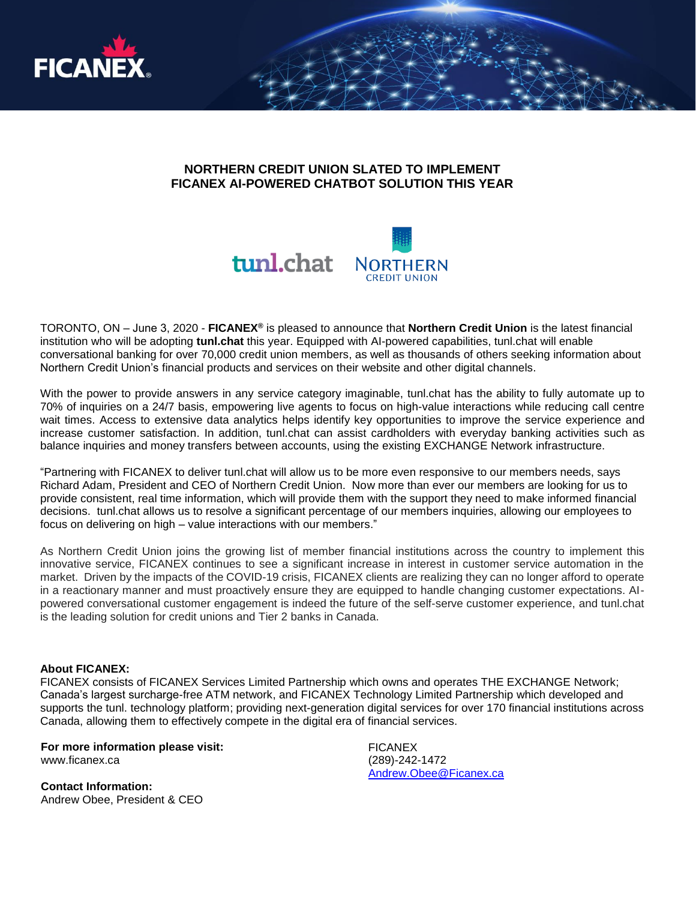

## **NORTHERN CREDIT UNION SLATED TO IMPLEMENT FICANEX AI-POWERED CHATBOT SOLUTION THIS YEAR**



TORONTO, ON – June 3, 2020 - **FICANEX®** is pleased to announce that **Northern Credit Union** is the latest financial institution who will be adopting **tunl.chat** this year. Equipped with AI-powered capabilities, tunl.chat will enable conversational banking for over 70,000 credit union members, as well as thousands of others seeking information about Northern Credit Union's financial products and services on their website and other digital channels.

With the power to provide answers in any service category imaginable, tunl.chat has the ability to fully automate up to 70% of inquiries on a 24/7 basis, empowering live agents to focus on high-value interactions while reducing call centre wait times. Access to extensive data analytics helps identify key opportunities to improve the service experience and increase customer satisfaction. In addition, tunl.chat can assist cardholders with everyday banking activities such as balance inquiries and money transfers between accounts, using the existing EXCHANGE Network infrastructure.

"Partnering with FICANEX to deliver tunl.chat will allow us to be more even responsive to our members needs, says Richard Adam, President and CEO of Northern Credit Union. Now more than ever our members are looking for us to provide consistent, real time information, which will provide them with the support they need to make informed financial decisions. tunl.chat allows us to resolve a significant percentage of our members inquiries, allowing our employees to focus on delivering on high – value interactions with our members."

As Northern Credit Union joins the growing list of member financial institutions across the country to implement this innovative service, FICANEX continues to see a significant increase in interest in customer service automation in the market. Driven by the impacts of the COVID-19 crisis, FICANEX clients are realizing they can no longer afford to operate in a reactionary manner and must proactively ensure they are equipped to handle changing customer expectations. AIpowered conversational customer engagement is indeed the future of the self-serve customer experience, and tunl.chat is the leading solution for credit unions and Tier 2 banks in Canada.

## **About FICANEX:**

FICANEX consists of FICANEX Services Limited Partnership which owns and operates THE EXCHANGE Network; Canada's largest surcharge-free ATM network, and FICANEX Technology Limited Partnership which developed and supports the tunl. technology platform; providing next-generation digital services for over 170 financial institutions across Canada, allowing them to effectively compete in the digital era of financial services.

**For more information please visit:** [www.ficanex.ca](http://www.ficaenx.ca/)

**Contact Information:** Andrew Obee, President & CEO FICANEX (289)-242-1472 [Andrew.Obee@Ficanex.ca](mailto:Andrew.Obee@Ficanex.ca)